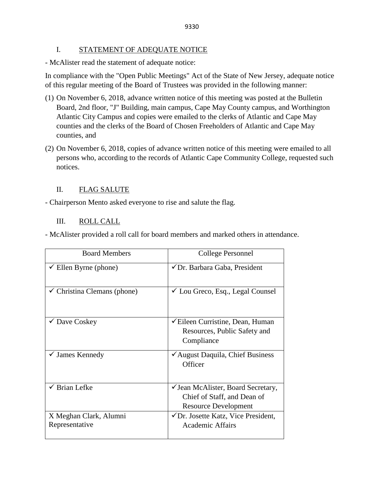### I. STATEMENT OF ADEQUATE NOTICE

- McAlister read the statement of adequate notice:

In compliance with the "Open Public Meetings" Act of the State of New Jersey, adequate notice of this regular meeting of the Board of Trustees was provided in the following manner:

- (1) On November 6, 2018, advance written notice of this meeting was posted at the Bulletin Board, 2nd floor, "J" Building, main campus, Cape May County campus, and Worthington Atlantic City Campus and copies were emailed to the clerks of Atlantic and Cape May counties and the clerks of the Board of Chosen Freeholders of Atlantic and Cape May counties, and
- (2) On November 6, 2018, copies of advance written notice of this meeting were emailed to all persons who, according to the records of Atlantic Cape Community College, requested such notices.

## II. FLAG SALUTE

- Chairperson Mento asked everyone to rise and salute the flag.

## III. ROLL CALL

- McAlister provided a roll call for board members and marked others in attendance.

| <b>Board Members</b>                     | College Personnel                                                                                    |  |
|------------------------------------------|------------------------------------------------------------------------------------------------------|--|
| $\checkmark$ Ellen Byrne (phone)         | ✔ Dr. Barbara Gaba, President                                                                        |  |
| $\checkmark$ Christina Clemans (phone)   | $\checkmark$ Lou Greco, Esq., Legal Counsel                                                          |  |
| $\checkmark$ Dave Coskey                 | <del></del> <del></del> Eileen Curristine, Dean, Human<br>Resources, Public Safety and<br>Compliance |  |
| $\checkmark$ James Kennedy               | ✔ August Daquila, Chief Business<br>Officer                                                          |  |
| <b>Brian Lefke</b>                       | ✓ Jean McAlister, Board Secretary,<br>Chief of Staff, and Dean of<br><b>Resource Development</b>     |  |
| X Meghan Clark, Alumni<br>Representative | $\checkmark$ Dr. Josette Katz, Vice President,<br><b>Academic Affairs</b>                            |  |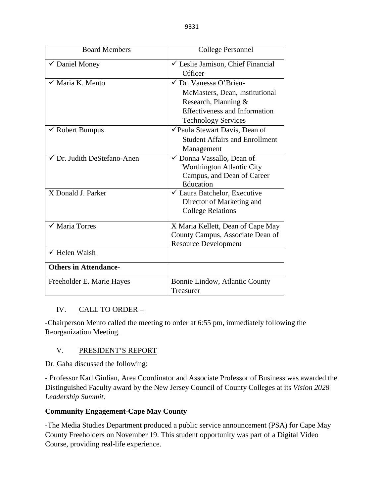| <b>Board Members</b>         | College Personnel                            |  |
|------------------------------|----------------------------------------------|--|
| $\checkmark$ Daniel Money    | $\checkmark$ Leslie Jamison, Chief Financial |  |
|                              | Officer                                      |  |
| $\checkmark$ Maria K. Mento  | √ Dr. Vanessa O'Brien-                       |  |
|                              | McMasters, Dean, Institutional               |  |
|                              | Research, Planning &                         |  |
|                              | <b>Effectiveness and Information</b>         |  |
|                              | <b>Technology Services</b>                   |  |
| $\checkmark$ Robert Bumpus   | ✔ Paula Stewart Davis, Dean of               |  |
|                              | <b>Student Affairs and Enrollment</b>        |  |
|                              | Management                                   |  |
| √ Dr. Judith DeStefano-Anen  | ✓ Donna Vassallo, Dean of                    |  |
|                              | Worthington Atlantic City                    |  |
|                              | Campus, and Dean of Career                   |  |
|                              | Education                                    |  |
| X Donald J. Parker           | $\checkmark$ Laura Batchelor, Executive      |  |
|                              | Director of Marketing and                    |  |
|                              | <b>College Relations</b>                     |  |
| $\sqrt{\ }$ Maria Torres     | X Maria Kellett, Dean of Cape May            |  |
|                              | County Campus, Associate Dean of             |  |
|                              | <b>Resource Development</b>                  |  |
| $\checkmark$ Helen Walsh     |                                              |  |
| <b>Others in Attendance-</b> |                                              |  |
| Freeholder E. Marie Hayes    | Bonnie Lindow, Atlantic County               |  |
|                              | Treasurer                                    |  |

# IV. CALL TO ORDER -

-Chairperson Mento called the meeting to order at 6:55 pm, immediately following the Reorganization Meeting.

# V. PRESIDENT'S REPORT

Dr. Gaba discussed the following:

- Professor Karl Giulian, Area Coordinator and Associate Professor of Business was awarded the Distinguished Faculty award by the New Jersey Council of County Colleges at its *Vision 2028 Leadership Summit*.

# **Community Engagement-Cape May County**

-The Media Studies Department produced a public service announcement (PSA) for Cape May County Freeholders on November 19. This student opportunity was part of a Digital Video Course, providing real-life experience.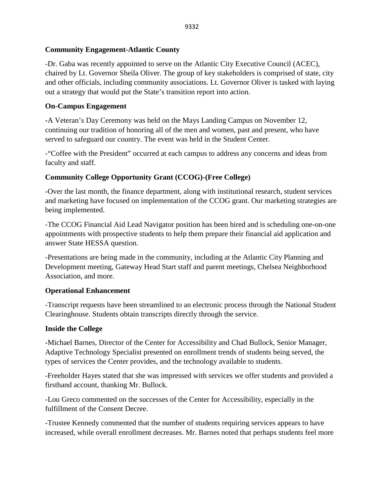## **Community Engagement-Atlantic County**

-Dr. Gaba was recently appointed to serve on the Atlantic City Executive Council (ACEC), chaired by Lt. Governor Sheila Oliver. The group of key stakeholders is comprised of state, city and other officials, including community associations. Lt. Governor Oliver is tasked with laying out a strategy that would put the State's transition report into action.

## **On-Campus Engagement**

**-**A Veteran's Day Ceremony was held on the Mays Landing Campus on November 12, continuing our tradition of honoring all of the men and women, past and present, who have served to safeguard our country. The event was held in the Student Center.

-"Coffee with the President" occurred at each campus to address any concerns and ideas from faculty and staff.

## **Community College Opportunity Grant (CCOG)-(Free College)**

-Over the last month, the finance department, along with institutional research, student services and marketing have focused on implementation of the CCOG grant. Our marketing strategies are being implemented.

-The CCOG Financial Aid Lead Navigator position has been hired and is scheduling one-on-one appointments with prospective students to help them prepare their financial aid application and answer State HESSA question.

-Presentations are being made in the community, including at the Atlantic City Planning and Development meeting, Gateway Head Start staff and parent meetings, Chelsea Neighborhood Association, and more.

## **Operational Enhancement**

-Transcript requests have been streamlined to an electronic process through the National Student Clearinghouse. Students obtain transcripts directly through the service.

## **Inside the College**

**-**Michael Barnes, Director of the Center for Accessibility and Chad Bullock, Senior Manager, Adaptive Technology Specialist presented on enrollment trends of students being served, the types of services the Center provides, and the technology available to students.

-Freeholder Hayes stated that she was impressed with services we offer students and provided a firsthand account, thanking Mr. Bullock.

-Lou Greco commented on the successes of the Center for Accessibility, especially in the fulfillment of the Consent Decree.

-Trustee Kennedy commented that the number of students requiring services appears to have increased, while overall enrollment decreases. Mr. Barnes noted that perhaps students feel more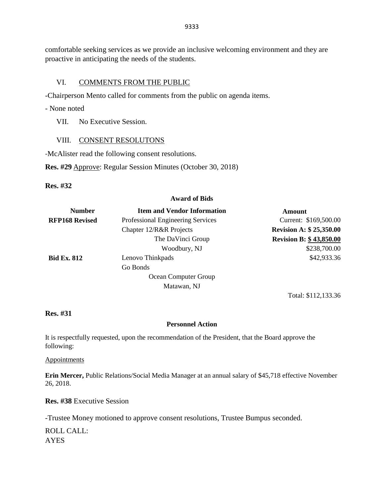comfortable seeking services as we provide an inclusive welcoming environment and they are proactive in anticipating the needs of the students.

### VI. COMMENTS FROM THE PUBLIC

-Chairperson Mento called for comments from the public on agenda items.

- None noted

VII. No Executive Session.

### VIII. CONSENT RESOLUTONS

-McAlister read the following consent resolutions.

**Res. #29** Approve: Regular Session Minutes (October 30, 2018)

**Res. #32**

#### **Award of Bids**

| <b>Number</b>         | <b>Item and Vendor Information</b> | Amount                         |
|-----------------------|------------------------------------|--------------------------------|
| <b>RFP168 Revised</b> | Professional Engineering Services  | Current: \$169,500.00          |
|                       | Chapter 12/R&R Projects            | <b>Revision A: \$25,350.00</b> |
|                       | The DaVinci Group                  | <b>Revision B: \$43,850.00</b> |
|                       | Woodbury, NJ                       | \$238,700.00                   |
| <b>Bid Ex. 812</b>    | Lenovo Thinkpads                   | \$42,933.36                    |
|                       | Go Bonds                           |                                |
|                       | Ocean Computer Group               |                                |
|                       | Matawan, NJ                        |                                |

**Res. #31**

### **Personnel Action**

Total: \$112,133.36

It is respectfully requested, upon the recommendation of the President, that the Board approve the following:

**Appointments** 

**Erin Mercer,** Public Relations/Social Media Manager at an annual salary of \$45,718 effective November 26, 2018.

**Res. #38** Executive Session

-Trustee Money motioned to approve consent resolutions, Trustee Bumpus seconded.

ROLL CALL: AYES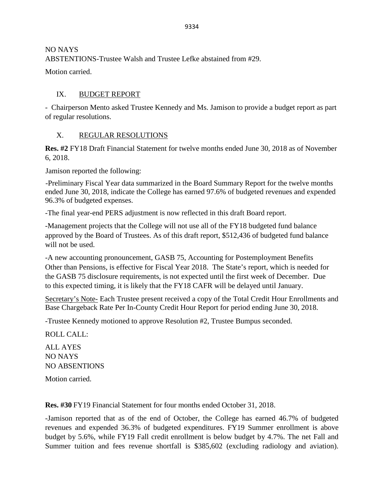NO NAYS ABSTENTIONS-Trustee Walsh and Trustee Lefke abstained from #29.

Motion carried.

# IX. BUDGET REPORT

- Chairperson Mento asked Trustee Kennedy and Ms. Jamison to provide a budget report as part of regular resolutions.

# X. REGULAR RESOLUTIONS

**Res. #2** FY18 Draft Financial Statement for twelve months ended June 30, 2018 as of November 6, 2018.

Jamison reported the following:

-Preliminary Fiscal Year data summarized in the Board Summary Report for the twelve months ended June 30, 2018, indicate the College has earned 97.6% of budgeted revenues and expended 96.3% of budgeted expenses.

-The final year-end PERS adjustment is now reflected in this draft Board report.

-Management projects that the College will not use all of the FY18 budgeted fund balance approved by the Board of Trustees. As of this draft report, \$512,436 of budgeted fund balance will not be used.

-A new accounting pronouncement, GASB 75, Accounting for Postemployment Benefits Other than Pensions, is effective for Fiscal Year 2018. The State's report, which is needed for the GASB 75 disclosure requirements, is not expected until the first week of December. Due to this expected timing, it is likely that the FY18 CAFR will be delayed until January.

Secretary's Note- Each Trustee present received a copy of the Total Credit Hour Enrollments and Base Chargeback Rate Per In-County Credit Hour Report for period ending June 30, 2018.

-Trustee Kennedy motioned to approve Resolution #2, Trustee Bumpus seconded.

ROLL CALL:

ALL AYES NO NAYS NO ABSENTIONS

Motion carried.

**Res. #30** FY19 Financial Statement for four months ended October 31, 2018.

-Jamison reported that as of the end of October, the College has earned 46.7% of budgeted revenues and expended 36.3% of budgeted expenditures. FY19 Summer enrollment is above budget by 5.6%, while FY19 Fall credit enrollment is below budget by 4.7%. The net Fall and Summer tuition and fees revenue shortfall is \$385,602 (excluding radiology and aviation).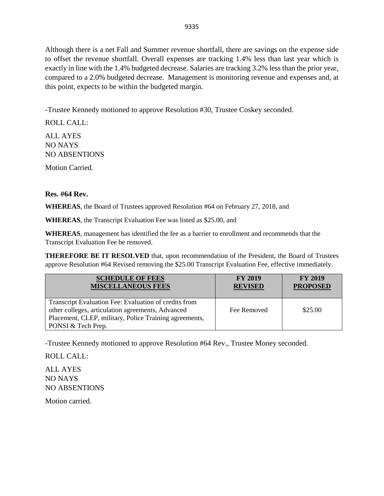Although there is a net Fall and Summer revenue shortfall, there are savings on the expense side to offset the revenue shortfall. Overall expenses are tracking 1.4% less than last year which is exactly in line with the 1.4% budgeted decrease. Salaries are tracking 3.2% less than the prior year, compared to a 2.0% budgeted decrease. Management is monitoring revenue and expenses and, at this point, expects to be within the budgeted margin.

-Trustee Kennedy motioned to approve Resolution #30, Trustee Coskey seconded.

ROLL CALL: ALL AYES NO NAYS NO ABSENTIONS

Motion Carried.

### **Res. #64 Rev.**

**WHEREAS**, the Board of Trustees approved Resolution #64 on February 27, 2018, and

**WHEREAS**, the Transcript Evaluation Fee was listed as \$25.00, and

**WHEREAS**, management has identified the fee as a barrier to enrollment and recommends that the Transcript Evaluation Fee be removed.

**THEREFORE BE IT RESOLVED** that, upon recommendation of the President, the Board of Trustees approve Resolution #64 Revised removing the \$25.00 Transcript Evaluation Fee, effective immediately.

| <b>SCHEDULE OF FEES</b><br><b>MISCELLANEOUS FEES</b>                                                                                                                 | <b>FY 2019</b><br><b>REVISED</b> | <b>FY 2019</b><br><b>PROPOSED</b> |
|----------------------------------------------------------------------------------------------------------------------------------------------------------------------|----------------------------------|-----------------------------------|
| Transcript Evaluation Fee: Evaluation of credits from<br>other colleges, articulation agreements, Advanced<br>Placement, CLEP, military, Police Training agreements, | Fee Removed                      | \$25.00                           |
| PONSI & Tech Prep.                                                                                                                                                   |                                  |                                   |

-Trustee Kennedy motioned to approve Resolution #64 Rev., Trustee Money seconded.

ROLL CALL:

ALL AYES NO NAYS NO ABSENTIONS

Motion carried.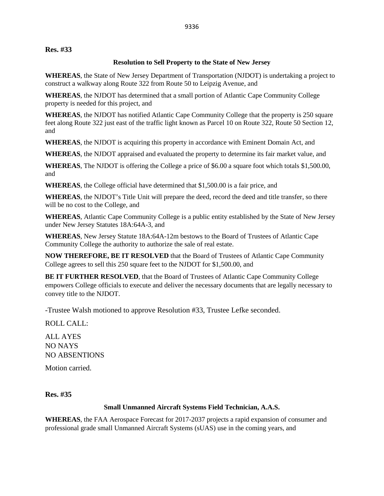**Res. #33**

### **Resolution to Sell Property to the State of New Jersey**

**WHEREAS**, the State of New Jersey Department of Transportation (NJDOT) is undertaking a project to construct a walkway along Route 322 from Route 50 to Leipzig Avenue, and

**WHEREAS**, the NJDOT has determined that a small portion of Atlantic Cape Community College property is needed for this project, and

**WHEREAS**, the NJDOT has notified Atlantic Cape Community College that the property is 250 square feet along Route 322 just east of the traffic light known as Parcel 10 on Route 322, Route 50 Section 12, and

**WHEREAS**, the NJDOT is acquiring this property in accordance with Eminent Domain Act, and

**WHEREAS**, the NJDOT appraised and evaluated the property to determine its fair market value, and

**WHEREAS**, The NJDOT is offering the College a price of \$6.00 a square foot which totals \$1,500.00, and

**WHEREAS**, the College official have determined that \$1,500.00 is a fair price, and

**WHEREAS**, the NJDOT's Title Unit will prepare the deed, record the deed and title transfer, so there will be no cost to the College, and

**WHEREAS**, Atlantic Cape Community College is a public entity established by the State of New Jersey under New Jersey Statutes 18A:64A-3, and

**WHEREAS**, New Jersey Statute 18A:64A-12m bestows to the Board of Trustees of Atlantic Cape Community College the authority to authorize the sale of real estate.

**NOW THEREFORE, BE IT RESOLVED** that the Board of Trustees of Atlantic Cape Community College agrees to sell this 250 square feet to the NJDOT for \$1,500.00, and

**BE IT FURTHER RESOLVED**, that the Board of Trustees of Atlantic Cape Community College empowers College officials to execute and deliver the necessary documents that are legally necessary to convey title to the NJDOT.

-Trustee Walsh motioned to approve Resolution #33, Trustee Lefke seconded.

ROLL CALL:

ALL AYES NO NAYS NO ABSENTIONS

Motion carried.

**Res. #35**

### **Small Unmanned Aircraft Systems Field Technician, A.A.S.**

**WHEREAS**, the FAA Aerospace Forecast for 2017-2037 projects a rapid expansion of consumer and professional grade small Unmanned Aircraft Systems (sUAS) use in the coming years, and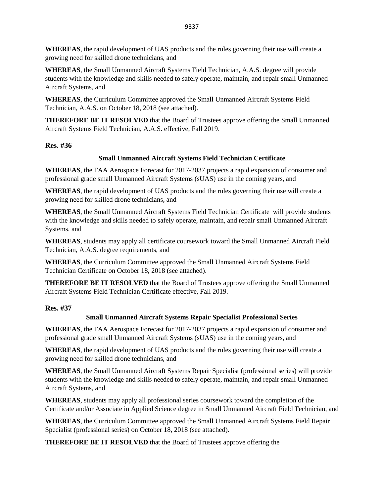**WHEREAS**, the rapid development of UAS products and the rules governing their use will create a growing need for skilled drone technicians, and

**WHEREAS**, the Small Unmanned Aircraft Systems Field Technician, A.A.S. degree will provide students with the knowledge and skills needed to safely operate, maintain, and repair small Unmanned Aircraft Systems, and

**WHEREAS**, the Curriculum Committee approved the Small Unmanned Aircraft Systems Field Technician, A.A.S. on October 18, 2018 (see attached).

**THEREFORE BE IT RESOLVED** that the Board of Trustees approve offering the Small Unmanned Aircraft Systems Field Technician, A.A.S. effective, Fall 2019.

### **Res. #36**

### **Small Unmanned Aircraft Systems Field Technician Certificate**

**WHEREAS**, the FAA Aerospace Forecast for 2017-2037 projects a rapid expansion of consumer and professional grade small Unmanned Aircraft Systems (sUAS) use in the coming years, and

**WHEREAS**, the rapid development of UAS products and the rules governing their use will create a growing need for skilled drone technicians, and

**WHEREAS**, the Small Unmanned Aircraft Systems Field Technician Certificate will provide students with the knowledge and skills needed to safely operate, maintain, and repair small Unmanned Aircraft Systems, and

**WHEREAS**, students may apply all certificate coursework toward the Small Unmanned Aircraft Field Technician, A.A.S. degree requirements, and

**WHEREAS**, the Curriculum Committee approved the Small Unmanned Aircraft Systems Field Technician Certificate on October 18, 2018 (see attached).

**THEREFORE BE IT RESOLVED** that the Board of Trustees approve offering the Small Unmanned Aircraft Systems Field Technician Certificate effective, Fall 2019.

### **Res. #37**

### **Small Unmanned Aircraft Systems Repair Specialist Professional Series**

**WHEREAS**, the FAA Aerospace Forecast for 2017-2037 projects a rapid expansion of consumer and professional grade small Unmanned Aircraft Systems (sUAS) use in the coming years, and

**WHEREAS**, the rapid development of UAS products and the rules governing their use will create a growing need for skilled drone technicians, and

**WHEREAS**, the Small Unmanned Aircraft Systems Repair Specialist (professional series) will provide students with the knowledge and skills needed to safely operate, maintain, and repair small Unmanned Aircraft Systems, and

**WHEREAS**, students may apply all professional series coursework toward the completion of the Certificate and/or Associate in Applied Science degree in Small Unmanned Aircraft Field Technician, and

**WHEREAS**, the Curriculum Committee approved the Small Unmanned Aircraft Systems Field Repair Specialist (professional series) on October 18, 2018 (see attached).

**THEREFORE BE IT RESOLVED** that the Board of Trustees approve offering the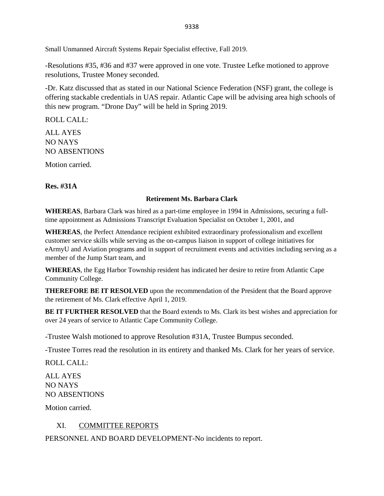Small Unmanned Aircraft Systems Repair Specialist effective, Fall 2019.

-Resolutions #35, #36 and #37 were approved in one vote. Trustee Lefke motioned to approve resolutions, Trustee Money seconded.

-Dr. Katz discussed that as stated in our National Science Federation (NSF) grant, the college is offering stackable credentials in UAS repair. Atlantic Cape will be advising area high schools of this new program. "Drone Day" will be held in Spring 2019.

ROLL CALL:

ALL AYES NO NAYS NO ABSENTIONS

Motion carried.

**Res. #31A**

### **Retirement Ms. Barbara Clark**

**WHEREAS**, Barbara Clark was hired as a part-time employee in 1994 in Admissions, securing a fulltime appointment as Admissions Transcript Evaluation Specialist on October 1, 2001, and

**WHEREAS**, the Perfect Attendance recipient exhibited extraordinary professionalism and excellent customer service skills while serving as the on-campus liaison in support of college initiatives for eArmyU and Aviation programs and in support of recruitment events and activities including serving as a member of the Jump Start team, and

**WHEREAS**, the Egg Harbor Township resident has indicated her desire to retire from Atlantic Cape Community College.

**THEREFORE BE IT RESOLVED** upon the recommendation of the President that the Board approve the retirement of Ms. Clark effective April 1, 2019.

**BE IT FURTHER RESOLVED** that the Board extends to Ms. Clark its best wishes and appreciation for over 24 years of service to Atlantic Cape Community College.

-Trustee Walsh motioned to approve Resolution #31A, Trustee Bumpus seconded.

-Trustee Torres read the resolution in its entirety and thanked Ms. Clark for her years of service.

ROLL CALL:

ALL AYES NO NAYS NO ABSENTIONS

Motion carried.

# XI. COMMITTEE REPORTS

PERSONNEL AND BOARD DEVELOPMENT-No incidents to report.